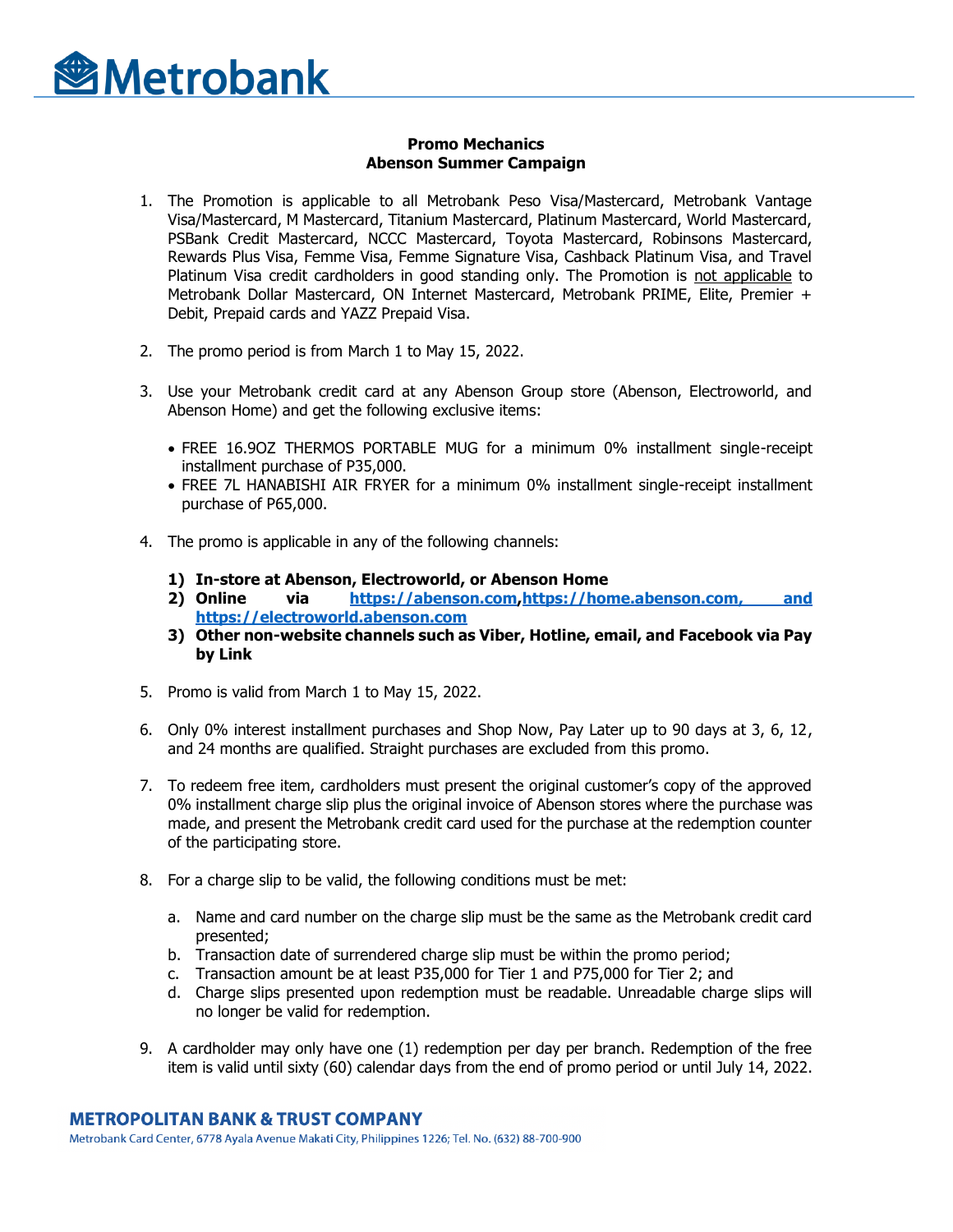

## **Promo Mechanics Abenson Summer Campaign**

- 1. The Promotion is applicable to all Metrobank Peso Visa/Mastercard, Metrobank Vantage Visa/Mastercard, M Mastercard, Titanium Mastercard, Platinum Mastercard, World Mastercard, PSBank Credit Mastercard, NCCC Mastercard, Toyota Mastercard, Robinsons Mastercard, Rewards Plus Visa, Femme Visa, Femme Signature Visa, Cashback Platinum Visa, and Travel Platinum Visa credit cardholders in good standing only. The Promotion is not applicable to Metrobank Dollar Mastercard, ON Internet Mastercard, Metrobank PRIME, Elite, Premier + Debit, Prepaid cards and YAZZ Prepaid Visa.
- 2. The promo period is from March 1 to May 15, 2022.
- 3. Use your Metrobank credit card at any Abenson Group store (Abenson, Electroworld, and Abenson Home) and get the following exclusive items:
	- FREE 16.9OZ THERMOS PORTABLE MUG for a minimum 0% installment single-receipt installment purchase of P35,000.
	- FREE 7L HANABISHI AIR FRYER for a minimum 0% installment single-receipt installment purchase of P65,000.
- 4. The promo is applicable in any of the following channels:
	- **1) In-store at Abenson, Electroworld, or Abenson Home**
	- **2) Online via [https://abenson.com](https://abenson.com/)[,https://home.abenson.com,](https://home.abenson.com/) and https://electroworld.abenson.com**
	- **3) Other non-website channels such as Viber, Hotline, email, and Facebook via Pay by Link**
- 5. Promo is valid from March 1 to May 15, 2022.
- 6. Only 0% interest installment purchases and Shop Now, Pay Later up to 90 days at 3, 6, 12, and 24 months are qualified. Straight purchases are excluded from this promo.
- 7. To redeem free item, cardholders must present the original customer's copy of the approved 0% installment charge slip plus the original invoice of Abenson stores where the purchase was made, and present the Metrobank credit card used for the purchase at the redemption counter of the participating store.
- 8. For a charge slip to be valid, the following conditions must be met:
	- a. Name and card number on the charge slip must be the same as the Metrobank credit card presented;
	- b. Transaction date of surrendered charge slip must be within the promo period;
	- c. Transaction amount be at least P35,000 for Tier 1 and P75,000 for Tier 2; and
	- d. Charge slips presented upon redemption must be readable. Unreadable charge slips will no longer be valid for redemption.
- 9. A cardholder may only have one (1) redemption per day per branch. Redemption of the free item is valid until sixty (60) calendar days from the end of promo period or until July 14, 2022.

## **METROPOLITAN BANK & TRUST COMPANY**

Metrobank Card Center, 6778 Ayala Avenue Makati City, Philippines 1226; Tel. No. (632) 88-700-900